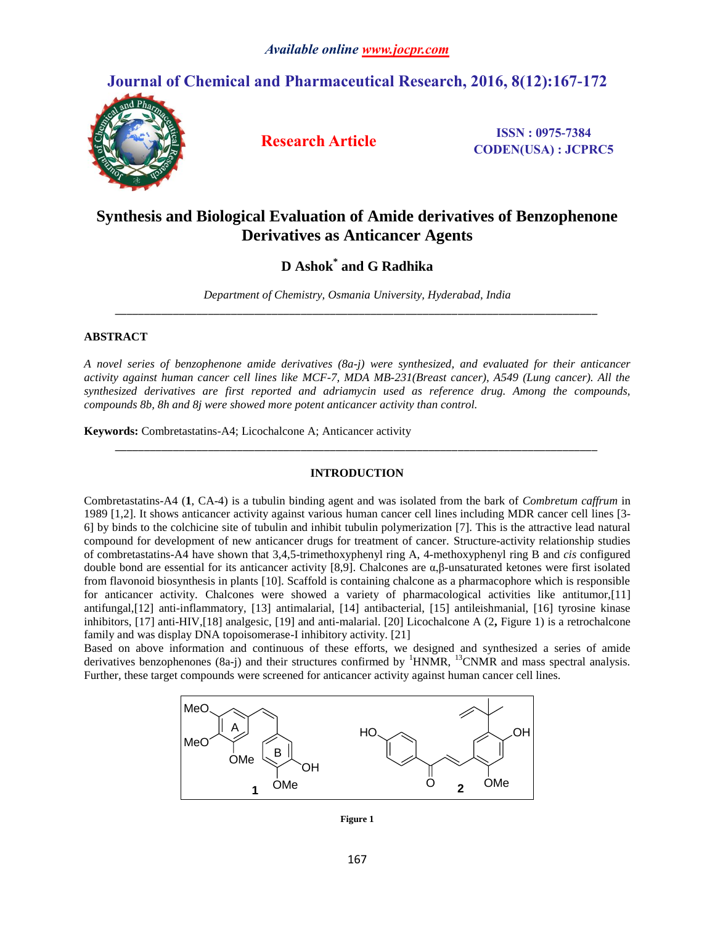# **Journal of Chemical and Pharmaceutical Research, 2016, 8(12):167-172**



**Research Article ISSN : 0975-7384 CODEN(USA) : JCPRC5**

# **Synthesis and Biological Evaluation of Amide derivatives of Benzophenone Derivatives as Anticancer Agents**

**D Ashok\* and G Radhika**

*Department of Chemistry, Osmania University, Hyderabad, India \_\_\_\_\_\_\_\_\_\_\_\_\_\_\_\_\_\_\_\_\_\_\_\_\_\_\_\_\_\_\_\_\_\_\_\_\_\_\_\_\_\_\_\_\_\_\_\_\_\_\_\_\_\_\_\_\_\_\_\_\_\_\_\_\_\_\_\_\_\_\_\_\_\_\_\_\_\_\_\_\_\_\_*

## **ABSTRACT**

*A novel series of benzophenone amide derivatives (8a-j) were synthesized, and evaluated for their anticancer activity against human cancer cell lines like MCF-7, MDA MB-231(Breast cancer), A549 (Lung cancer). All the synthesized derivatives are first reported and adriamycin used as reference drug. Among the compounds, compounds 8b, 8h and 8j were showed more potent anticancer activity than control.*

**Keywords:** Combretastatins-A4; Licochalcone A; Anticancer activity

#### **INTRODUCTION**

*\_\_\_\_\_\_\_\_\_\_\_\_\_\_\_\_\_\_\_\_\_\_\_\_\_\_\_\_\_\_\_\_\_\_\_\_\_\_\_\_\_\_\_\_\_\_\_\_\_\_\_\_\_\_\_\_\_\_\_\_\_\_\_\_\_\_\_\_\_\_\_\_\_\_\_\_\_\_\_\_\_\_\_*

Combretastatins-A4 (**1**, CA-4) is a tubulin binding agent and was isolated from the bark of *Combretum caffrum* in 1989 [1,2]. It shows anticancer activity against various human cancer cell lines including MDR cancer cell lines [3- 6] by binds to the colchicine site of tubulin and inhibit tubulin polymerization [7]. This is the attractive lead natural compound for development of new anticancer drugs for treatment of cancer. Structure-activity relationship studies of combretastatins-A4 have shown that 3,4,5-trimethoxyphenyl ring A, 4-methoxyphenyl ring B and *cis* configured double bond are essential for its anticancer activity [8,9]. Chalcones are α,β-unsaturated ketones were first isolated from flavonoid biosynthesis in plants [10]. Scaffold is containing chalcone as a pharmacophore which is responsible for anticancer activity. Chalcones were showed a variety of pharmacological activities like antitumor,[11] antifungal,[12] anti-inflammatory, [13] antimalarial, [14] antibacterial, [15] antileishmanial, [16] tyrosine kinase inhibitors, [17] anti-HIV,[18] analgesic, [19] and anti-malarial. [20] Licochalcone A (2**,** Figure 1) is a retrochalcone family and was display DNA topoisomerase-I inhibitory activity. [21]

Based on above information and continuous of these efforts, we designed and synthesized a series of amide derivatives benzophenones (8a-j) and their structures confirmed by <sup>1</sup>HNMR, <sup>13</sup>CNMR and mass spectral analysis. Further, these target compounds were screened for anticancer activity against human cancer cell lines.



**Figure 1**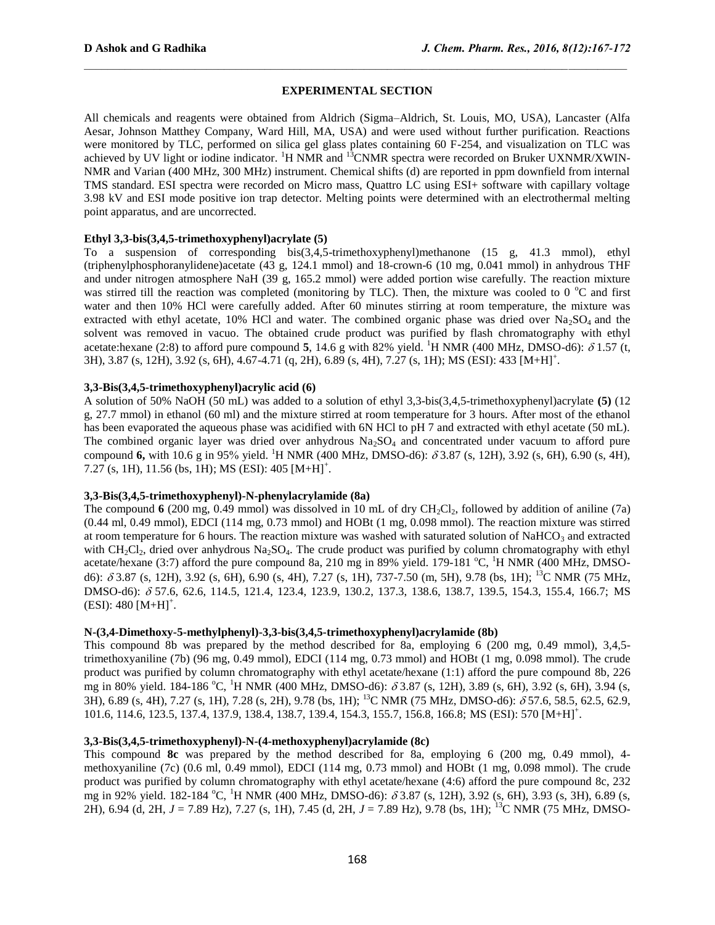## **EXPERIMENTAL SECTION**

All chemicals and reagents were obtained from Aldrich (Sigma–Aldrich, St. Louis, MO, USA), Lancaster (Alfa Aesar, Johnson Matthey Company, Ward Hill, MA, USA) and were used without further purification. Reactions were monitored by TLC, performed on silica gel glass plates containing 60 F-254, and visualization on TLC was achieved by UV light or iodine indicator.  ${}^{1}H$  NMR and  ${}^{13}$ CNMR spectra were recorded on Bruker UXNMR/XWIN-NMR and Varian (400 MHz, 300 MHz) instrument. Chemical shifts (d) are reported in ppm downfield from internal TMS standard. ESI spectra were recorded on Micro mass, Quattro LC using ESI+ software with capillary voltage 3.98 kV and ESI mode positive ion trap detector. Melting points were determined with an electrothermal melting point apparatus, and are uncorrected.

## **Ethyl 3,3-bis(3,4,5-trimethoxyphenyl)acrylate (5)**

To a suspension of corresponding bis(3,4,5-trimethoxyphenyl)methanone (15 g, 41.3 mmol), ethyl (triphenylphosphoranylidene)acetate (43 g, 124.1 mmol) and 18-crown-6 (10 mg, 0.041 mmol) in anhydrous THF and under nitrogen atmosphere NaH (39 g, 165.2 mmol) were added portion wise carefully. The reaction mixture was stirred till the reaction was completed (monitoring by TLC). Then, the mixture was cooled to 0  $\degree$ C and first water and then 10% HCl were carefully added. After 60 minutes stirring at room temperature, the mixture was extracted with ethyl acetate, 10% HCl and water. The combined organic phase was dried over  $Na<sub>2</sub>SO<sub>4</sub>$  and the solvent was removed in vacuo. The obtained crude product was purified by flash chromatography with ethyl acetate:hexane (2:8) to afford pure compound 5, 14.6 g with 82% yield. <sup>1</sup>H NMR (400 MHz, DMSO-d6):  $\delta$  1.57 (t, 3H), 3.87 (s, 12H), 3.92 (s, 6H), 4.67-4.71 (q, 2H), 6.89 (s, 4H), 7.27 (s, 1H); MS (ESI): 433 [M+H]<sup>+</sup> .

#### **3,3-Bis(3,4,5-trimethoxyphenyl)acrylic acid (6)**

A solution of 50% NaOH (50 mL) was added to a solution of ethyl 3,3-bis(3,4,5-trimethoxyphenyl)acrylate **(5)** (12 g, 27.7 mmol) in ethanol (60 ml) and the mixture stirred at room temperature for 3 hours. After most of the ethanol has been evaporated the aqueous phase was acidified with 6N HCl to pH 7 and extracted with ethyl acetate (50 mL). The combined organic layer was dried over anhydrous  $Na_2SO_4$  and concentrated under vacuum to afford pure compound **6,** with 10.6 g in 95% yield. <sup>1</sup>H NMR (400 MHz, DMSO-d6):  $\delta$  3.87 (s, 12H), 3.92 (s, 6H), 6.90 (s, 4H), 7.27 (s, 1H), 11.56 (bs, 1H); MS (ESI): 405  $[M+H]$ <sup>+</sup>.

#### **3,3-Bis(3,4,5-trimethoxyphenyl)-N-phenylacrylamide (8a)**

The compound  $6$  (200 mg, 0.49 mmol) was dissolved in 10 mL of dry CH<sub>2</sub>Cl<sub>2</sub>, followed by addition of aniline (7a) (0.44 ml, 0.49 mmol), EDCI (114 mg, 0.73 mmol) and HOBt (1 mg, 0.098 mmol). The reaction mixture was stirred at room temperature for 6 hours. The reaction mixture was washed with saturated solution of NaHCO<sub>3</sub> and extracted with  $CH_2Cl_2$ , dried over anhydrous Na<sub>2</sub>SO<sub>4</sub>. The crude product was purified by column chromatography with ethyl acetate/hexane (3:7) afford the pure compound 8a, 210 mg in 89% yield. 179-181  $^{\circ}$ C, <sup>1</sup>H NMR (400 MHz, DMSOd6):  $\delta$  3.87 (s, 12H), 3.92 (s, 6H), 6.90 (s, 4H), 7.27 (s, 1H), 737-7.50 (m, 5H), 9.78 (bs, 1H); <sup>13</sup>C NMR (75 MHz, DMSO-d6): 57.6, 62.6, 114.5, 121.4, 123.4, 123.9, 130.2, 137.3, 138.6, 138.7, 139.5, 154.3, 155.4, 166.7; MS  $(ESI): 480 [M+H]<sup>+</sup>.$ 

#### **N-(3,4-Dimethoxy-5-methylphenyl)-3,3-bis(3,4,5-trimethoxyphenyl)acrylamide (8b)**

This compound 8b was prepared by the method described for 8a, employing 6 (200 mg, 0.49 mmol), 3,4,5 trimethoxyaniline (7b) (96 mg, 0.49 mmol), EDCI (114 mg, 0.73 mmol) and HOBt (1 mg, 0.098 mmol). The crude product was purified by column chromatography with ethyl acetate/hexane (1:1) afford the pure compound 8b, 226 mg in 80% yield. 184-186 °C, <sup>1</sup>H NMR (400 MHz, DMSO-d6):  $\delta$  3.87 (s, 12H), 3.89 (s, 6H), 3.92 (s, 6H), 3.94 (s, 3H), 6.89 (s, 4H), 7.27 (s, 1H), 7.28 (s, 2H), 9.78 (bs, 1H); <sup>13</sup>C NMR (75 MHz, DMSO-d6):  $\delta$  57.6, 58.5, 62.5, 62.9, 101.6, 114.6, 123.5, 137.4, 137.9, 138.4, 138.7, 139.4, 154.3, 155.7, 156.8, 166.8; MS (ESI): 570 [M+H]<sup>+</sup> .

### **3,3-Bis(3,4,5-trimethoxyphenyl)-N-(4-methoxyphenyl)acrylamide (8c)**

This compound **8c** was prepared by the method described for 8a, employing 6 (200 mg, 0.49 mmol), 4 methoxyaniline (7c) (0.6 ml, 0.49 mmol), EDCI (114 mg, 0.73 mmol) and HOBt (1 mg, 0.098 mmol). The crude product was purified by column chromatography with ethyl acetate/hexane (4:6) afford the pure compound 8c, 232 mg in 92% yield. 182-184 °C, <sup>1</sup>H NMR (400 MHz, DMSO-d6):  $\delta$  3.87 (s, 12H), 3.92 (s, 6H), 3.93 (s, 3H), 6.89 (s, 2H), 6.94 (d, 2H, *J* = 7.89 Hz), 7.27 (s, 1H), 7.45 (d, 2H, *J* = 7.89 Hz), 9.78 (bs, 1H); <sup>13</sup>C NMR (75 MHz, DMSO-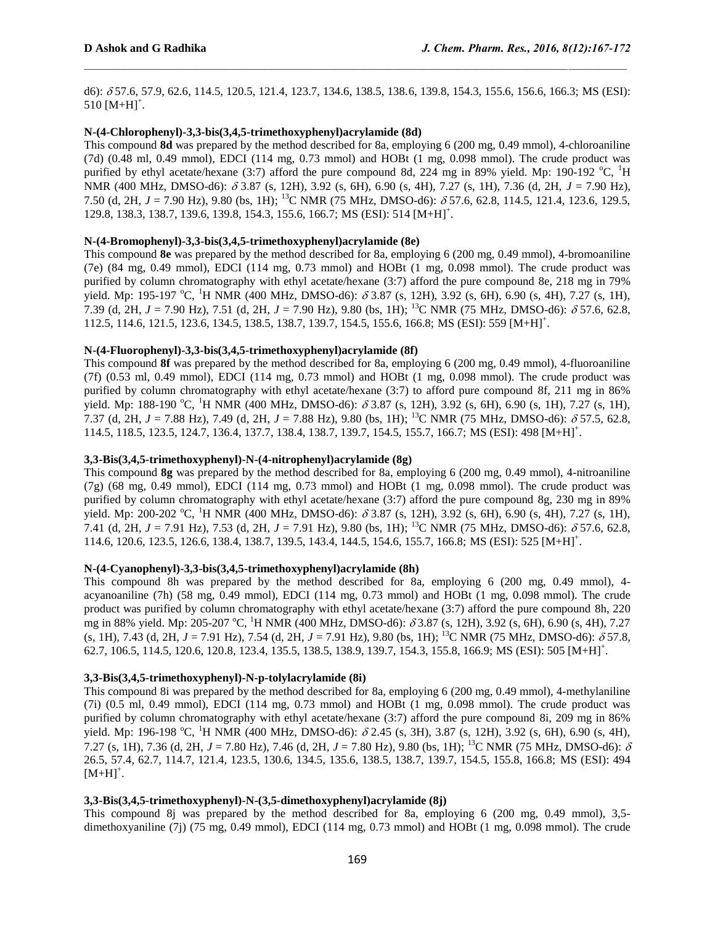d6): 57.6, 57.9, 62.6, 114.5, 120.5, 121.4, 123.7, 134.6, 138.5, 138.6, 139.8, 154.3, 155.6, 156.6, 166.3; MS (ESI):  $510$  [M+H]<sup>+</sup>.

#### **N-(4-Chlorophenyl)-3,3-bis(3,4,5-trimethoxyphenyl)acrylamide (8d)**

This compound **8d** was prepared by the method described for 8a, employing 6 (200 mg, 0.49 mmol), 4-chloroaniline (7d) (0.48 ml, 0.49 mmol), EDCI (114 mg, 0.73 mmol) and HOBt (1 mg, 0.098 mmol). The crude product was purified by ethyl acetate/hexane (3:7) afford the pure compound 8d, 224 mg in 89% yield. Mp: 190-192  $^{\circ}$ C, <sup>1</sup>H NMR (400 MHz, DMSO-d6):  $\delta$  3.87 (s, 12H), 3.92 (s, 6H), 6.90 (s, 4H), 7.27 (s, 1H), 7.36 (d, 2H, *J* = 7.90 Hz), 7.50 (d, 2H,  $J = 7.90$  Hz), 9.80 (bs, 1H); <sup>13</sup>C NMR (75 MHz, DMSO-d6):  $\delta$  57.6, 62.8, 114.5, 121.4, 123.6, 129.5, 129.8, 138.3, 138.7, 139.6, 139.8, 154.3, 155.6, 166.7; MS (ESI): 514 [M+H]<sup>+</sup>.

#### **N-(4-Bromophenyl)-3,3-bis(3,4,5-trimethoxyphenyl)acrylamide (8e)**

This compound **8e** was prepared by the method described for 8a, employing 6 (200 mg, 0.49 mmol), 4-bromoaniline (7e) (84 mg, 0.49 mmol), EDCI (114 mg, 0.73 mmol) and HOBt (1 mg, 0.098 mmol). The crude product was purified by column chromatography with ethyl acetate/hexane (3:7) afford the pure compound 8e, 218 mg in 79% yield. Mp: 195-197 °C, <sup>1</sup>H NMR (400 MHz, DMSO-d6):  $\delta$  3.87 (s, 12H), 3.92 (s, 6H), 6.90 (s, 4H), 7.27 (s, 1H), 7.39 (d, 2H,  $J = 7.90$  Hz), 7.51 (d, 2H,  $J = 7.90$  Hz), 9.80 (bs, 1H); <sup>13</sup>C NMR (75 MHz, DMSO-d6):  $\delta$  57.6, 62.8, 112.5, 114.6, 121.5, 123.6, 134.5, 138.5, 138.7, 139.7, 154.5, 155.6, 166.8; MS (ESI): 559 [M+H]<sup>+</sup> .

#### **N-(4-Fluorophenyl)-3,3-bis(3,4,5-trimethoxyphenyl)acrylamide (8f)**

This compound **8f** was prepared by the method described for 8a, employing 6 (200 mg, 0.49 mmol), 4-fluoroaniline (7f) (0.53 ml, 0.49 mmol), EDCI (114 mg, 0.73 mmol) and HOBt (1 mg, 0.098 mmol). The crude product was purified by column chromatography with ethyl acetate/hexane (3:7) to afford pure compound 8f, 211 mg in 86% yield. Mp: 188-190 °C, <sup>1</sup>H NMR (400 MHz, DMSO-d6):  $\delta$  3.87 (s, 12H), 3.92 (s, 6H), 6.90 (s, 1H), 7.27 (s, 1H), 7.37 (d, 2H,  $J = 7.88$  Hz), 7.49 (d, 2H,  $J = 7.88$  Hz), 9.80 (bs, 1H); <sup>13</sup>C NMR (75 MHz, DMSO-d6):  $\delta$  57.5, 62.8, 114.5, 118.5, 123.5, 124.7, 136.4, 137.7, 138.4, 138.7, 139.7, 154.5, 155.7, 166.7; MS (ESI): 498 [M+H]<sup>+</sup> .

#### **3,3-Bis(3,4,5-trimethoxyphenyl)-N-(4-nitrophenyl)acrylamide (8g)**

This compound **8g** was prepared by the method described for 8a, employing 6 (200 mg, 0.49 mmol), 4-nitroaniline (7g) (68 mg, 0.49 mmol), EDCI (114 mg, 0.73 mmol) and HOBt (1 mg, 0.098 mmol). The crude product was purified by column chromatography with ethyl acetate/hexane (3:7) afford the pure compound 8g, 230 mg in 89% yield. Mp: 200-202 °C, <sup>1</sup>H NMR (400 MHz, DMSO-d6):  $\delta$  3.87 (s, 12H), 3.92 (s, 6H), 6.90 (s, 4H), 7.27 (s, 1H), 7.41 (d, 2H, *J* = 7.91 Hz), 7.53 (d, 2H, *J* = 7.91 Hz), 9.80 (bs, 1H); <sup>13</sup>C NMR (75 MHz, DMSO-d6):  $\delta$  57.6, 62.8, 114.6, 120.6, 123.5, 126.6, 138.4, 138.7, 139.5, 143.4, 144.5, 154.6, 155.7, 166.8; MS (ESI): 525 [M+H]<sup>+</sup> .

#### **N-(4-Cyanophenyl)-3,3-bis(3,4,5-trimethoxyphenyl)acrylamide (8h)**

This compound 8h was prepared by the method described for 8a, employing 6 (200 mg, 0.49 mmol), 4 acyanoaniline (7h) (58 mg, 0.49 mmol), EDCI (114 mg, 0.73 mmol) and HOBt (1 mg, 0.098 mmol). The crude product was purified by column chromatography with ethyl acetate/hexane (3:7) afford the pure compound 8h, 220 mg in 88% yield. Mp: 205-207 °C, <sup>1</sup>H NMR (400 MHz, DMSO-d6):  $\delta$  3.87 (s, 12H), 3.92 (s, 6H), 6.90 (s, 4H), 7.27  $($ s, 1H), 7.43 (d, 2H,  $J = 7.91$  Hz), 7.54 (d, 2H,  $J = 7.91$  Hz), 9.80 (bs, 1H); <sup>13</sup>C NMR (75 MHz, DMSO-d6):  $\delta$  57.8, 62.7, 106.5, 114.5, 120.6, 120.8, 123.4, 135.5, 138.5, 138.9, 139.7, 154.3, 155.8, 166.9; MS (ESI): 505 [M+H]<sup>+</sup> .

#### **3,3-Bis(3,4,5-trimethoxyphenyl)-N-p-tolylacrylamide (8i)**

This compound 8i was prepared by the method described for 8a, employing 6 (200 mg, 0.49 mmol), 4-methylaniline (7i) (0.5 ml, 0.49 mmol), EDCI (114 mg, 0.73 mmol) and HOBt (1 mg, 0.098 mmol). The crude product was purified by column chromatography with ethyl acetate/hexane (3:7) afford the pure compound 8i, 209 mg in 86% yield. Mp: 196-198 °C, <sup>1</sup>H NMR (400 MHz, DMSO-d6):  $\delta$  2.45 (s, 3H), 3.87 (s, 12H), 3.92 (s, 6H), 6.90 (s, 4H), 7.27 (s, 1H), 7.36 (d, 2H, *J* = 7.80 Hz), 7.46 (d, 2H, *J* = 7.80 Hz), 9.80 (bs, 1H); <sup>13</sup>C NMR (75 MHz, DMSO-d6):  $\delta$ 26.5, 57.4, 62.7, 114.7, 121.4, 123.5, 130.6, 134.5, 135.6, 138.5, 138.7, 139.7, 154.5, 155.8, 166.8; MS (ESI): 494  $[M+H]^+$ .

#### **3,3-Bis(3,4,5-trimethoxyphenyl)-N-(3,5-dimethoxyphenyl)acrylamide (8j)**

This compound 8j was prepared by the method described for 8a, employing 6 (200 mg, 0.49 mmol), 3,5 dimethoxyaniline (7j) (75 mg, 0.49 mmol), EDCI (114 mg, 0.73 mmol) and HOBt (1 mg, 0.098 mmol). The crude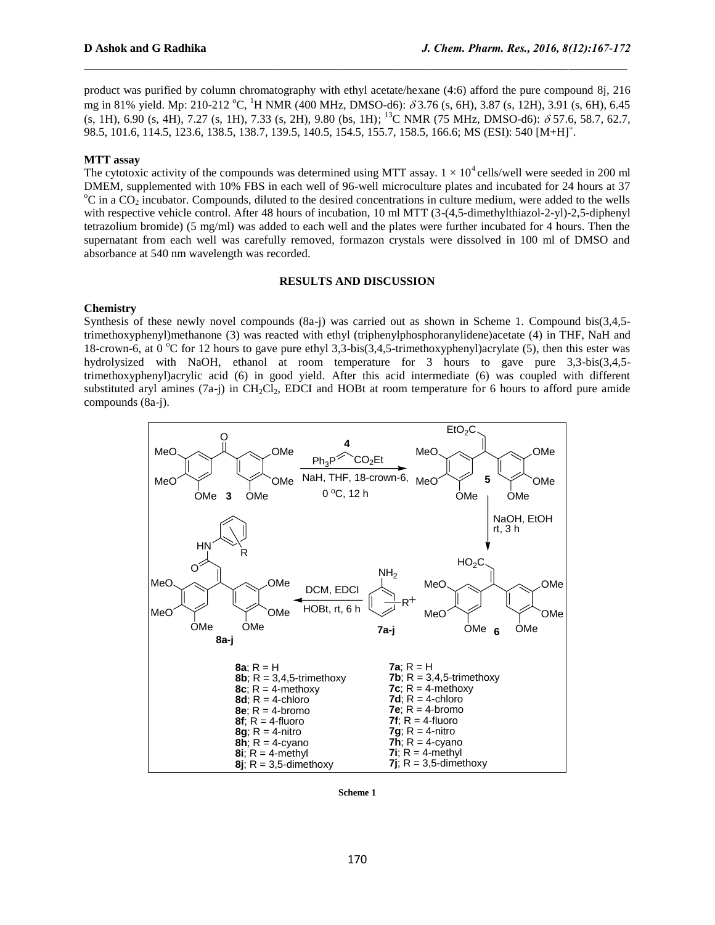product was purified by column chromatography with ethyl acetate/hexane (4:6) afford the pure compound 8j, 216 mg in 81% yield. Mp: 210-212 °C, <sup>1</sup>H NMR (400 MHz, DMSO-d6):  $\delta$  3.76 (s, 6H), 3.87 (s, 12H), 3.91 (s, 6H), 6.45  $(s, 1H)$ , 6.90  $(s, 4H)$ , 7.27  $(s, 1H)$ , 7.33  $(s, 2H)$ , 9.80  $(bs, 1H)$ ;  $^{13}$ C NMR (75 MHz, DMSO-d6):  $\delta$  57.6, 58.7, 62.7, 98.5, 101.6, 114.5, 123.6, 138.5, 138.7, 139.5, 140.5, 154.5, 155.7, 158.5, 166.6; MS (ESI): 540 [M+H]<sup>+</sup> .

#### **MTT assay**

The cytotoxic activity of the compounds was determined using MTT assay.  $1 \times 10^4$  cells/well were seeded in 200 ml DMEM, supplemented with 10% FBS in each well of 96-well microculture plates and incubated for 24 hours at 37  $\rm{^oC}$  in a CO<sub>2</sub> incubator. Compounds, diluted to the desired concentrations in culture medium, were added to the wells with respective vehicle control. After 48 hours of incubation, 10 ml MTT (3-(4,5-dimethylthiazol-2-yl)-2,5-diphenyl tetrazolium bromide) (5 mg/ml) was added to each well and the plates were further incubated for 4 hours. Then the supernatant from each well was carefully removed, formazon crystals were dissolved in 100 ml of DMSO and absorbance at 540 nm wavelength was recorded.

#### **RESULTS AND DISCUSSION**

#### **Chemistry**

Synthesis of these newly novel compounds (8a-j) was carried out as shown in Scheme 1. Compound bis(3,4,5 trimethoxyphenyl)methanone (3) was reacted with ethyl (triphenylphosphoranylidene)acetate (4) in THF, NaH and 18-crown-6, at 0  $^{\circ}$ C for 12 hours to gave pure ethyl 3,3-bis(3,4,5-trimethoxyphenyl)acrylate (5), then this ester was hydrolysized with NaOH, ethanol at room temperature for 3 hours to gave pure 3,3-bis(3,4,5 trimethoxyphenyl)acrylic acid (6) in good yield. After this acid intermediate (6) was coupled with different substituted aryl amines (7a-j) in  $CH_2Cl_2$ , EDCI and HOBt at room temperature for 6 hours to afford pure amide compounds (8a-j).



**Scheme 1**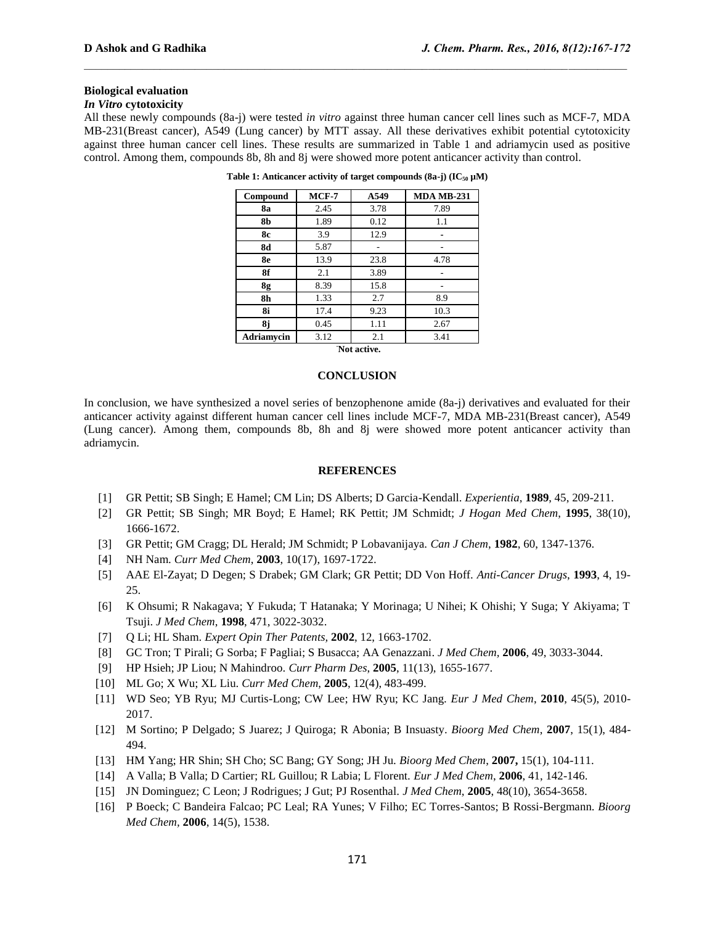# **Biological evaluation**

# *In Vitro* **cytotoxicity**

All these newly compounds (8a-j) were tested *in vitro* against three human cancer cell lines such as MCF-7, MDA MB-231(Breast cancer), A549 (Lung cancer) by MTT assay. All these derivatives exhibit potential cytotoxicity against three human cancer cell lines. These results are summarized in Table 1 and adriamycin used as positive control. Among them, compounds 8b, 8h and 8j were showed more potent anticancer activity than control.

| Compound    | $MCF-7$ | A549 | <b>MDA MB-231</b> |
|-------------|---------|------|-------------------|
| 8a          | 2.45    | 3.78 | 7.89              |
| 8b          | 1.89    | 0.12 | 1.1               |
| 8с          | 3.9     | 12.9 |                   |
| <b>8d</b>   | 5.87    |      |                   |
| 8e          | 13.9    | 23.8 | 4.78              |
| 8f          | 2.1     | 3.89 |                   |
| 8g          | 8.39    | 15.8 |                   |
| 8h          | 1.33    | 2.7  | 8.9               |
| 8i          | 17.4    | 9.23 | 10.3              |
| 8j          | 0.45    | 1.11 | 2.67              |
| Adriamycin  | 3.12    | 2.1  | 3.41              |
| Not active. |         |      |                   |

**Table 1: Anticancer activity of target compounds (8a-j) (IC<sup>50</sup> µM)**

# **CONCLUSION**

In conclusion, we have synthesized a novel series of benzophenone amide (8a-j) derivatives and evaluated for their anticancer activity against different human cancer cell lines include MCF-7, MDA MB-231(Breast cancer), A549 (Lung cancer). Among them, compounds 8b, 8h and 8j were showed more potent anticancer activity than adriamycin.

#### **REFERENCES**

- [1] GR Pettit; SB Singh; E Hamel; CM Lin; DS Alberts; D Garcia-Kendall. *Experientia*, **1989**, 45, 209-211.
- [2] GR Pettit; SB Singh; MR Boyd; E Hamel; RK Pettit; JM Schmidt; *J Hogan Med Chem*, **1995**, 38(10), 1666-1672.
- [3] GR Pettit; GM Cragg; DL Herald; JM Schmidt; P Lobavanijaya. *Can J Chem*, **1982**, 60, 1347-1376.
- [4] NH Nam. *Curr Med Chem*, **2003**, 10(17), 1697-1722.
- [5] AAE El-Zayat; D Degen; S Drabek; GM Clark; GR Pettit; DD Von Hoff. *Anti-Cancer Drugs*, **1993**, 4, 19- 25.
- [6] K Ohsumi; R Nakagava; Y Fukuda; T Hatanaka; Y Morinaga; U Nihei; K Ohishi; Y Suga; Y Akiyama; T Tsuji. *J Med Chem*, **1998**, 471, 3022-3032.
- [7] Q Li; HL Sham. *Expert Opin Ther Patents,* **2002**, 12, 1663-1702.
- [8] GC Tron; T Pirali; G Sorba; F Pagliai; S Busacca; AA Genazzani. *J Med Chem,* **2006**, 49, 3033-3044.
- [9] HP Hsieh; JP Liou; N Mahindroo. *Curr Pharm Des*, **2005**, 11(13), 1655-1677.
- [10] ML Go; X Wu; XL Liu. *Curr Med Chem*, **2005**, 12(4), 483-499.
- [11] WD Seo; YB Ryu; MJ Curtis-Long; CW Lee; HW Ryu; KC Jang. *Eur J Med Chem*, **2010**, 45(5), 2010- 2017.
- [12] M Sortino; P Delgado; S Juarez; J Quiroga; R Abonia; B Insuasty. *Bioorg Med Chem*, **2007**, 15(1), 484- 494.
- [13] HM Yang; HR Shin; SH Cho; SC Bang; GY Song; JH Ju. *Bioorg Med Chem*, **2007,** 15(1), 104-111.
- [14] A Valla; B Valla; D Cartier; RL Guillou; R Labia; L Florent. *Eur J Med Chem*, **2006**, 41, 142-146.
- [15] JN Dominguez; C Leon; J Rodrigues; J Gut; PJ Rosenthal. *J Med Chem*, **2005**, 48(10), 3654-3658.
- [16] P Boeck; C Bandeira Falcao; PC Leal; RA Yunes; V Filho; EC Torres-Santos; B Rossi-Bergmann. *Bioorg Med Chem,* **2006**, 14(5), 1538.